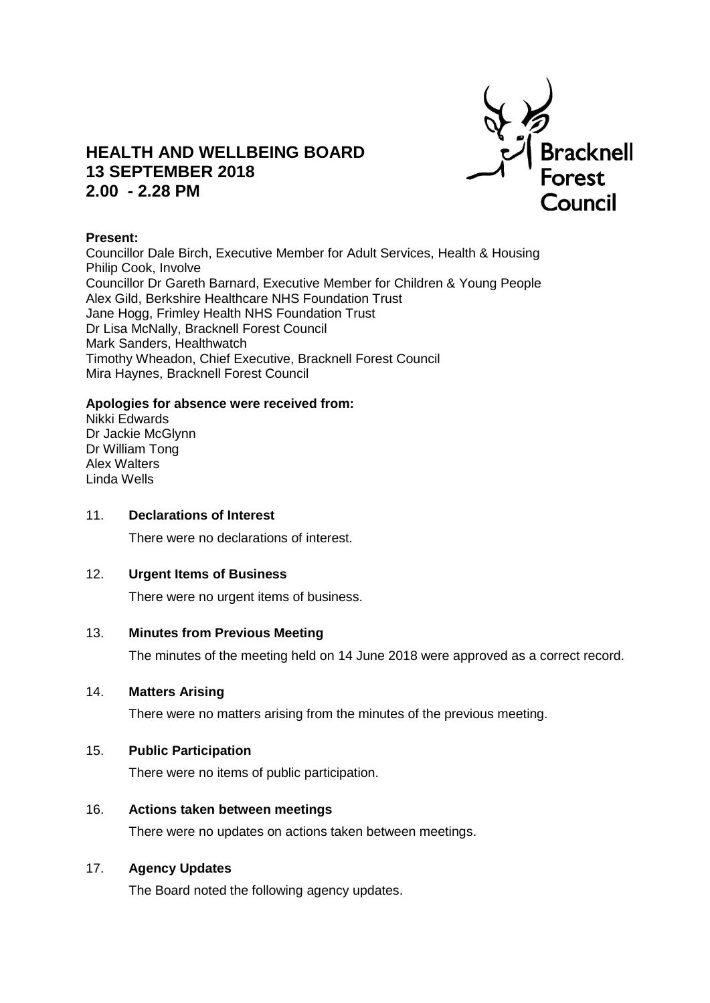

# **HEALTH AND WELLBEING BOARD 13 SEPTEMBER 2018 2.00 - 2.28 PM**

## **Present:**

Councillor Dale Birch, Executive Member for Adult Services, Health & Housing Philip Cook, Involve Councillor Dr Gareth Barnard, Executive Member for Children & Young People Alex Gild, Berkshire Healthcare NHS Foundation Trust Jane Hogg, Frimley Health NHS Foundation Trust Dr Lisa McNally, Bracknell Forest Council Mark Sanders, Healthwatch Timothy Wheadon, Chief Executive, Bracknell Forest Council Mira Haynes, Bracknell Forest Council

#### **Apologies for absence were received from:**

Nikki Edwards Dr Jackie McGlynn Dr William Tong Alex Walters Linda Wells

#### 11. **Declarations of Interest**

There were no declarations of interest.

## 12. **Urgent Items of Business**

There were no urgent items of business.

### 13. **Minutes from Previous Meeting**

The minutes of the meeting held on 14 June 2018 were approved as a correct record.

#### 14. **Matters Arising**

There were no matters arising from the minutes of the previous meeting.

## 15. **Public Participation**

There were no items of public participation.

## 16. **Actions taken between meetings**

There were no updates on actions taken between meetings.

## 17. **Agency Updates**

The Board noted the following agency updates.